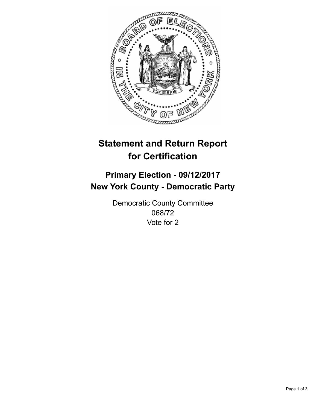

## **Statement and Return Report for Certification**

## **Primary Election - 09/12/2017 New York County - Democratic Party**

Democratic County Committee 068/72 Vote for 2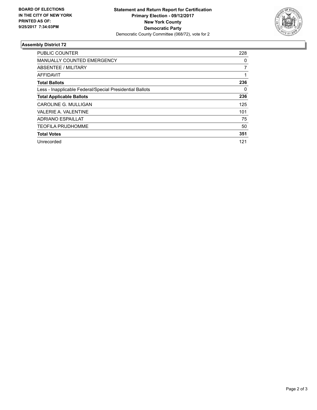

## **Assembly District 72**

| <b>PUBLIC COUNTER</b>                                    | 228 |
|----------------------------------------------------------|-----|
| <b>MANUALLY COUNTED EMERGENCY</b>                        | 0   |
| ABSENTEE / MILITARY                                      | 7   |
| <b>AFFIDAVIT</b>                                         |     |
| <b>Total Ballots</b>                                     | 236 |
| Less - Inapplicable Federal/Special Presidential Ballots | 0   |
| <b>Total Applicable Ballots</b>                          | 236 |
| CAROLINE G. MULLIGAN                                     | 125 |
| <b>VALERIE A. VALENTINE</b>                              | 101 |
| <b>ADRIANO ESPAILLAT</b>                                 | 75  |
| <b>TEOFILA PRUDHOMME</b>                                 | 50  |
| <b>Total Votes</b>                                       | 351 |
| Unrecorded                                               | 121 |